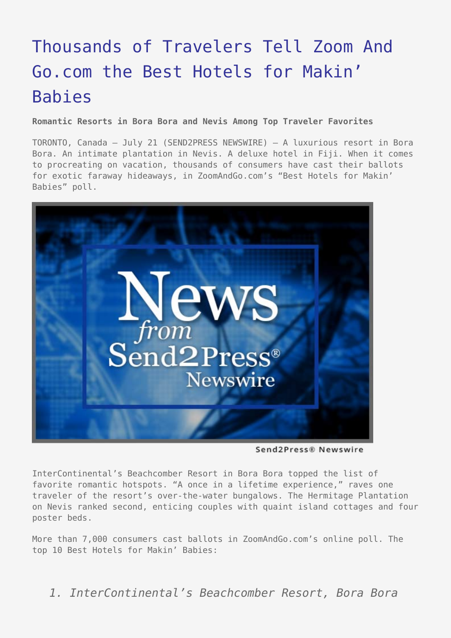## [Thousands of Travelers Tell Zoom And](https://www.send2press.com/wire/2005-07-0721-001/) [Go.com the Best Hotels for Makin'](https://www.send2press.com/wire/2005-07-0721-001/) [Babies](https://www.send2press.com/wire/2005-07-0721-001/)

**Romantic Resorts in Bora Bora and Nevis Among Top Traveler Favorites**

TORONTO, Canada – July 21 (SEND2PRESS NEWSWIRE) — A luxurious resort in Bora Bora. An intimate plantation in Nevis. A deluxe hotel in Fiji. When it comes to procreating on vacation, thousands of consumers have cast their ballots for exotic faraway hideaways, in ZoomAndGo.com's "Best Hotels for Makin' Babies" poll.



Send2Press® Newswire

InterContinental's Beachcomber Resort in Bora Bora topped the list of favorite romantic hotspots. "A once in a lifetime experience," raves one traveler of the resort's over-the-water bungalows. The Hermitage Plantation on Nevis ranked second, enticing couples with quaint island cottages and four poster beds.

More than 7,000 consumers cast ballots in ZoomAndGo.com's online poll. The top 10 Best Hotels for Makin' Babies:

*1. InterContinental's Beachcomber Resort, Bora Bora*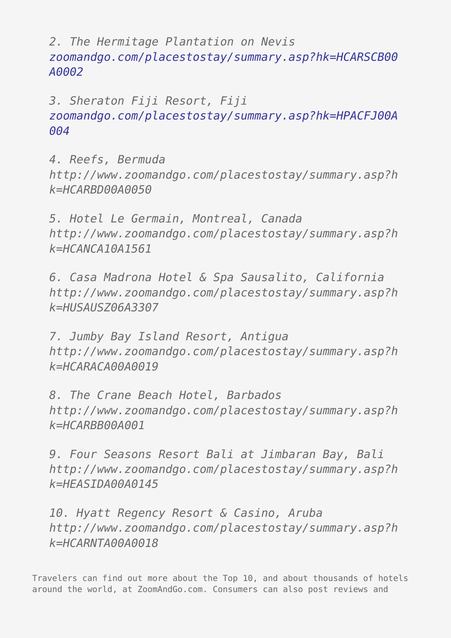*2. The Hermitage Plantation on Nevis [zoomandgo.com/placestostay/summary.asp?hk=HCARSCB00](http://www.zoomandgo.com/placestostay/summary.asp?hk=HCARSCB00A0002) [A0002](http://www.zoomandgo.com/placestostay/summary.asp?hk=HCARSCB00A0002)*

*3. Sheraton Fiji Resort, Fiji [zoomandgo.com/placestostay/summary.asp?hk=HPACFJ00A](http://www.zoomandgo.com/placestostay/summary.asp?hk=HPACFJ00A004) [004](http://www.zoomandgo.com/placestostay/summary.asp?hk=HPACFJ00A004)*

*4. Reefs, Bermuda http://www.zoomandgo.com/placestostay/summary.asp?h k=HCARBD00A0050*

*5. Hotel Le Germain, Montreal, Canada http://www.zoomandgo.com/placestostay/summary.asp?h k=HCANCA10A1561*

*6. Casa Madrona Hotel & Spa Sausalito, California http://www.zoomandgo.com/placestostay/summary.asp?h k=HUSAUSZ06A3307*

*7. Jumby Bay Island Resort, Antigua http://www.zoomandgo.com/placestostay/summary.asp?h k=HCARACA00A0019*

*8. The Crane Beach Hotel, Barbados http://www.zoomandgo.com/placestostay/summary.asp?h k=HCARBB00A001*

*9. Four Seasons Resort Bali at Jimbaran Bay, Bali http://www.zoomandgo.com/placestostay/summary.asp?h k=HEASIDA00A0145*

*10. Hyatt Regency Resort & Casino, Aruba http://www.zoomandgo.com/placestostay/summary.asp?h k=HCARNTA00A0018*

Travelers can find out more about the Top 10, and about thousands of hotels around the world, at ZoomAndGo.com. Consumers can also post reviews and